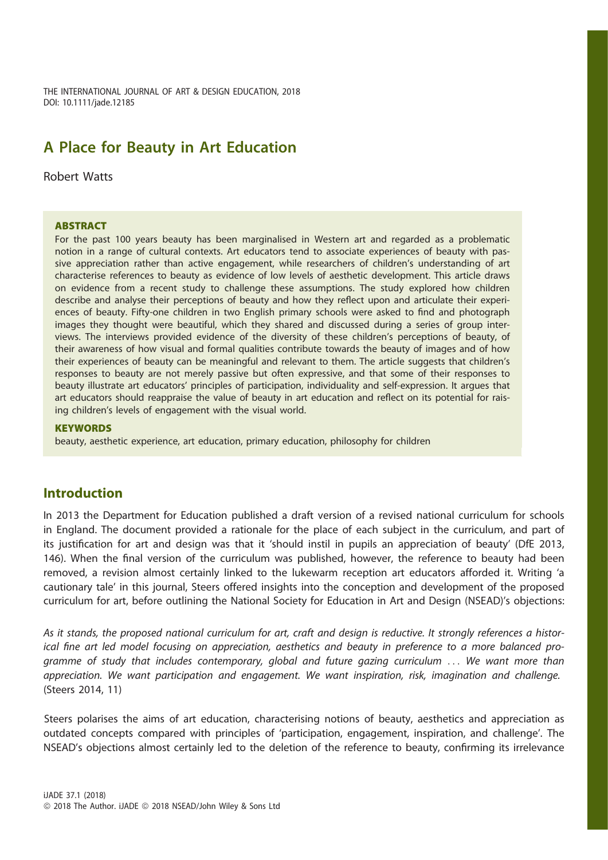THE INTERNATIONAL JOURNAL OF ART & DESIGN EDUCATION, 2018 DOI: 10.1111/jade.12185

# A Place for Beauty in Art Education

Robert Watts

### ABSTRACT

For the past 100 years beauty has been marginalised in Western art and regarded as a problematic notion in a range of cultural contexts. Art educators tend to associate experiences of beauty with passive appreciation rather than active engagement, while researchers of children's understanding of art characterise references to beauty as evidence of low levels of aesthetic development. This article draws on evidence from a recent study to challenge these assumptions. The study explored how children describe and analyse their perceptions of beauty and how they reflect upon and articulate their experiences of beauty. Fifty-one children in two English primary schools were asked to find and photograph images they thought were beautiful, which they shared and discussed during a series of group interviews. The interviews provided evidence of the diversity of these children's perceptions of beauty, of their awareness of how visual and formal qualities contribute towards the beauty of images and of how their experiences of beauty can be meaningful and relevant to them. The article suggests that children's responses to beauty are not merely passive but often expressive, and that some of their responses to beauty illustrate art educators' principles of participation, individuality and self-expression. It argues that art educators should reappraise the value of beauty in art education and reflect on its potential for raising children's levels of engagement with the visual world.

#### **KEYWORDS**

beauty, aesthetic experience, art education, primary education, philosophy for children

# Introduction

In 2013 the Department for Education published a draft version of a revised national curriculum for schools in England. The document provided a rationale for the place of each subject in the curriculum, and part of its justification for art and design was that it 'should instil in pupils an appreciation of beauty' (DfE 2013, 146). When the final version of the curriculum was published, however, the reference to beauty had been removed, a revision almost certainly linked to the lukewarm reception art educators afforded it. Writing 'a cautionary tale' in this journal, Steers offered insights into the conception and development of the proposed curriculum for art, before outlining the National Society for Education in Art and Design (NSEAD)'s objections:

As it stands, the proposed national curriculum for art, craft and design is reductive. It strongly references a historical fine art led model focusing on appreciation, aesthetics and beauty in preference to a more balanced programme of study that includes contemporary, global and future gazing curriculum ... We want more than appreciation. We want participation and engagement. We want inspiration, risk, imagination and challenge. (Steers 2014, 11)

Steers polarises the aims of art education, characterising notions of beauty, aesthetics and appreciation as outdated concepts compared with principles of 'participation, engagement, inspiration, and challenge'. The NSEAD's objections almost certainly led to the deletion of the reference to beauty, confirming its irrelevance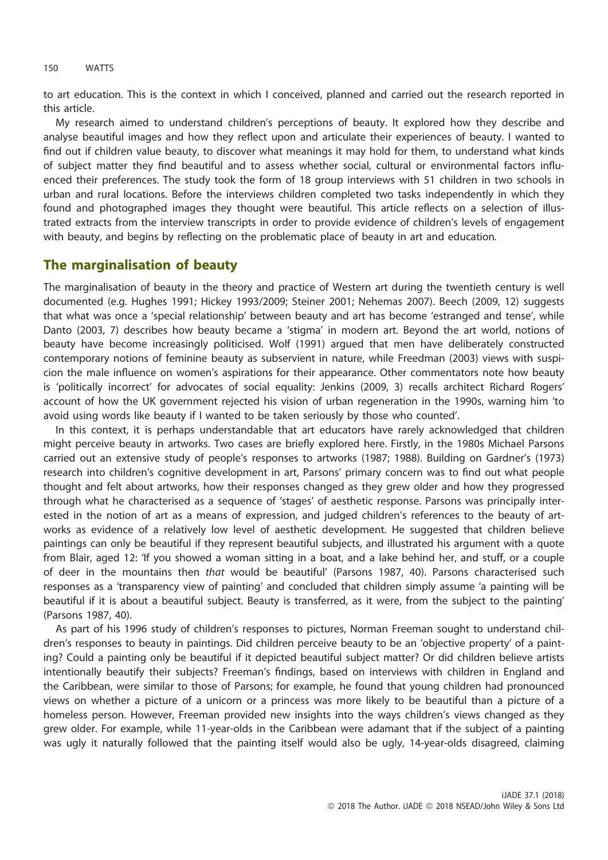to art education. This is the context in which I conceived, planned and carried out the research reported in this article.

My research aimed to understand children's perceptions of beauty. It explored how they describe and analyse beautiful images and how they reflect upon and articulate their experiences of beauty. I wanted to find out if children value beauty, to discover what meanings it may hold for them, to understand what kinds of subject matter they find beautiful and to assess whether social, cultural or environmental factors influenced their preferences. The study took the form of 18 group interviews with 51 children in two schools in urban and rural locations. Before the interviews children completed two tasks independently in which they found and photographed images they thought were beautiful. This article reflects on a selection of illustrated extracts from the interview transcripts in order to provide evidence of children's levels of engagement with beauty, and begins by reflecting on the problematic place of beauty in art and education.

# The marginalisation of beauty

The marginalisation of beauty in the theory and practice of Western art during the twentieth century is well documented (e.g. Hughes 1991; Hickey 1993/2009; Steiner 2001; Nehemas 2007). Beech (2009, 12) suggests that what was once a 'special relationship' between beauty and art has become 'estranged and tense', while Danto (2003, 7) describes how beauty became a 'stigma' in modern art. Beyond the art world, notions of beauty have become increasingly politicised. Wolf (1991) argued that men have deliberately constructed contemporary notions of feminine beauty as subservient in nature, while Freedman (2003) views with suspicion the male influence on women's aspirations for their appearance. Other commentators note how beauty is 'politically incorrect' for advocates of social equality: Jenkins (2009, 3) recalls architect Richard Rogers' account of how the UK government rejected his vision of urban regeneration in the 1990s, warning him 'to avoid using words like beauty if I wanted to be taken seriously by those who counted'.

In this context, it is perhaps understandable that art educators have rarely acknowledged that children might perceive beauty in artworks. Two cases are briefly explored here. Firstly, in the 1980s Michael Parsons carried out an extensive study of people's responses to artworks (1987; 1988). Building on Gardner's (1973) research into children's cognitive development in art, Parsons' primary concern was to find out what people thought and felt about artworks, how their responses changed as they grew older and how they progressed through what he characterised as a sequence of 'stages' of aesthetic response. Parsons was principally interested in the notion of art as a means of expression, and judged children's references to the beauty of artworks as evidence of a relatively low level of aesthetic development. He suggested that children believe paintings can only be beautiful if they represent beautiful subjects, and illustrated his argument with a quote from Blair, aged 12: 'If you showed a woman sitting in a boat, and a lake behind her, and stuff, or a couple of deer in the mountains then that would be beautiful' (Parsons 1987, 40). Parsons characterised such responses as a 'transparency view of painting' and concluded that children simply assume 'a painting will be beautiful if it is about a beautiful subject. Beauty is transferred, as it were, from the subject to the painting' (Parsons 1987, 40).

As part of his 1996 study of children's responses to pictures, Norman Freeman sought to understand children's responses to beauty in paintings. Did children perceive beauty to be an 'objective property' of a painting? Could a painting only be beautiful if it depicted beautiful subject matter? Or did children believe artists intentionally beautify their subjects? Freeman's findings, based on interviews with children in England and the Caribbean, were similar to those of Parsons; for example, he found that young children had pronounced views on whether a picture of a unicorn or a princess was more likely to be beautiful than a picture of a homeless person. However, Freeman provided new insights into the ways children's views changed as they grew older. For example, while 11-year-olds in the Caribbean were adamant that if the subject of a painting was ugly it naturally followed that the painting itself would also be ugly, 14-year-olds disagreed, claiming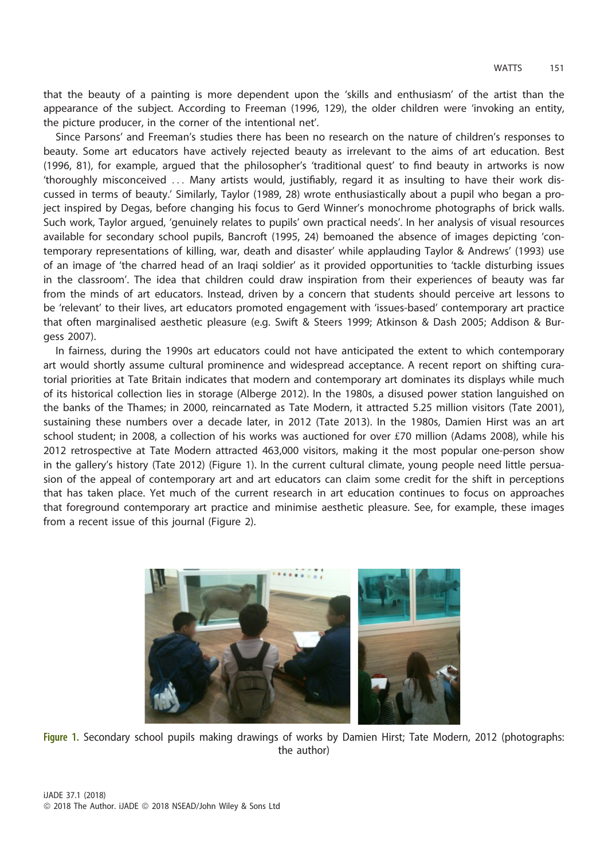that the beauty of a painting is more dependent upon the 'skills and enthusiasm' of the artist than the appearance of the subject. According to Freeman (1996, 129), the older children were 'invoking an entity, the picture producer, in the corner of the intentional net'.

Since Parsons' and Freeman's studies there has been no research on the nature of children's responses to beauty. Some art educators have actively rejected beauty as irrelevant to the aims of art education. Best (1996, 81), for example, argued that the philosopher's 'traditional quest' to find beauty in artworks is now 'thoroughly misconceived ... Many artists would, justifiably, regard it as insulting to have their work discussed in terms of beauty.' Similarly, Taylor (1989, 28) wrote enthusiastically about a pupil who began a project inspired by Degas, before changing his focus to Gerd Winner's monochrome photographs of brick walls. Such work, Taylor argued, 'genuinely relates to pupils' own practical needs'. In her analysis of visual resources available for secondary school pupils, Bancroft (1995, 24) bemoaned the absence of images depicting 'contemporary representations of killing, war, death and disaster' while applauding Taylor & Andrews' (1993) use of an image of 'the charred head of an Iraqi soldier' as it provided opportunities to 'tackle disturbing issues in the classroom'. The idea that children could draw inspiration from their experiences of beauty was far from the minds of art educators. Instead, driven by a concern that students should perceive art lessons to be 'relevant' to their lives, art educators promoted engagement with 'issues-based' contemporary art practice that often marginalised aesthetic pleasure (e.g. Swift & Steers 1999; Atkinson & Dash 2005; Addison & Burgess 2007).

In fairness, during the 1990s art educators could not have anticipated the extent to which contemporary art would shortly assume cultural prominence and widespread acceptance. A recent report on shifting curatorial priorities at Tate Britain indicates that modern and contemporary art dominates its displays while much of its historical collection lies in storage (Alberge 2012). In the 1980s, a disused power station languished on the banks of the Thames; in 2000, reincarnated as Tate Modern, it attracted 5.25 million visitors (Tate 2001), sustaining these numbers over a decade later, in 2012 (Tate 2013). In the 1980s, Damien Hirst was an art school student; in 2008, a collection of his works was auctioned for over £70 million (Adams 2008), while his 2012 retrospective at Tate Modern attracted 463,000 visitors, making it the most popular one-person show in the gallery's history (Tate 2012) (Figure 1). In the current cultural climate, young people need little persuasion of the appeal of contemporary art and art educators can claim some credit for the shift in perceptions that has taken place. Yet much of the current research in art education continues to focus on approaches that foreground contemporary art practice and minimise aesthetic pleasure. See, for example, these images from a recent issue of this journal (Figure 2).



Figure 1. Secondary school pupils making drawings of works by Damien Hirst; Tate Modern, 2012 (photographs: the author)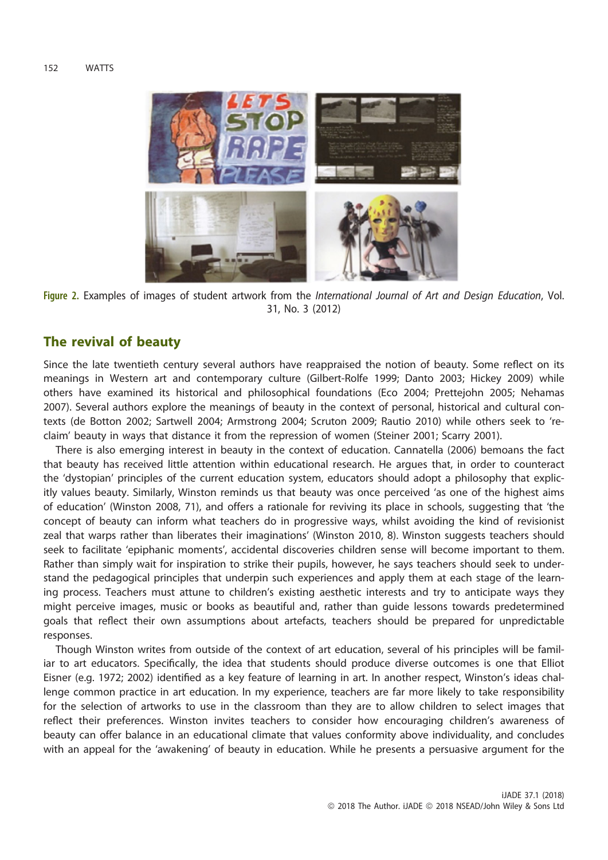

Figure 2. Examples of images of student artwork from the International Journal of Art and Design Education, Vol. 31, No. 3 (2012)

# The revival of beauty

Since the late twentieth century several authors have reappraised the notion of beauty. Some reflect on its meanings in Western art and contemporary culture (Gilbert-Rolfe 1999; Danto 2003; Hickey 2009) while others have examined its historical and philosophical foundations (Eco 2004; Prettejohn 2005; Nehamas 2007). Several authors explore the meanings of beauty in the context of personal, historical and cultural contexts (de Botton 2002; Sartwell 2004; Armstrong 2004; Scruton 2009; Rautio 2010) while others seek to 'reclaim' beauty in ways that distance it from the repression of women (Steiner 2001; Scarry 2001).

There is also emerging interest in beauty in the context of education. Cannatella (2006) bemoans the fact that beauty has received little attention within educational research. He argues that, in order to counteract the 'dystopian' principles of the current education system, educators should adopt a philosophy that explicitly values beauty. Similarly, Winston reminds us that beauty was once perceived 'as one of the highest aims of education' (Winston 2008, 71), and offers a rationale for reviving its place in schools, suggesting that 'the concept of beauty can inform what teachers do in progressive ways, whilst avoiding the kind of revisionist zeal that warps rather than liberates their imaginations' (Winston 2010, 8). Winston suggests teachers should seek to facilitate 'epiphanic moments', accidental discoveries children sense will become important to them. Rather than simply wait for inspiration to strike their pupils, however, he says teachers should seek to understand the pedagogical principles that underpin such experiences and apply them at each stage of the learning process. Teachers must attune to children's existing aesthetic interests and try to anticipate ways they might perceive images, music or books as beautiful and, rather than guide lessons towards predetermined goals that reflect their own assumptions about artefacts, teachers should be prepared for unpredictable responses.

Though Winston writes from outside of the context of art education, several of his principles will be familiar to art educators. Specifically, the idea that students should produce diverse outcomes is one that Elliot Eisner (e.g. 1972; 2002) identified as a key feature of learning in art. In another respect, Winston's ideas challenge common practice in art education. In my experience, teachers are far more likely to take responsibility for the selection of artworks to use in the classroom than they are to allow children to select images that reflect their preferences. Winston invites teachers to consider how encouraging children's awareness of beauty can offer balance in an educational climate that values conformity above individuality, and concludes with an appeal for the 'awakening' of beauty in education. While he presents a persuasive argument for the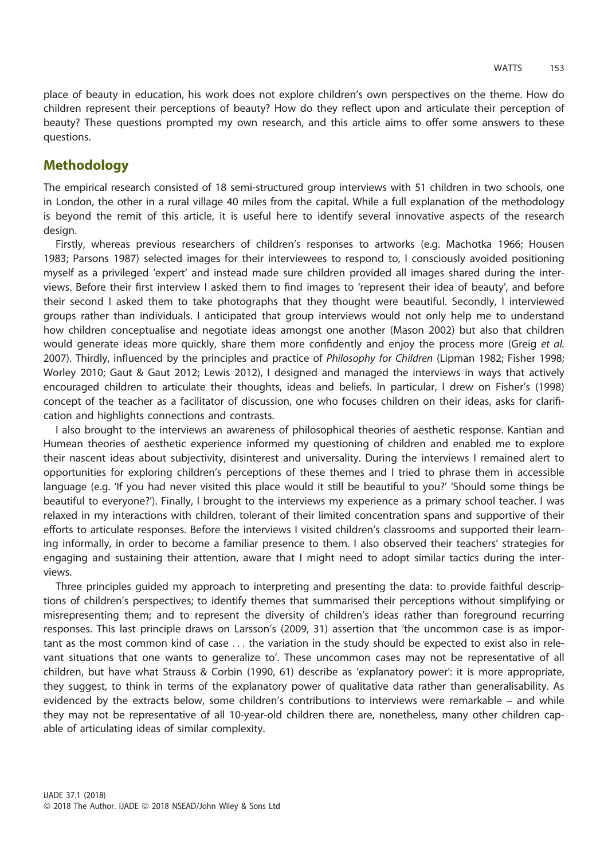place of beauty in education, his work does not explore children's own perspectives on the theme. How do children represent their perceptions of beauty? How do they reflect upon and articulate their perception of beauty? These questions prompted my own research, and this article aims to offer some answers to these questions.

# Methodology

The empirical research consisted of 18 semi-structured group interviews with 51 children in two schools, one in London, the other in a rural village 40 miles from the capital. While a full explanation of the methodology is beyond the remit of this article, it is useful here to identify several innovative aspects of the research design.

Firstly, whereas previous researchers of children's responses to artworks (e.g. Machotka 1966; Housen 1983; Parsons 1987) selected images for their interviewees to respond to, I consciously avoided positioning myself as a privileged 'expert' and instead made sure children provided all images shared during the interviews. Before their first interview I asked them to find images to 'represent their idea of beauty', and before their second I asked them to take photographs that they thought were beautiful. Secondly, I interviewed groups rather than individuals. I anticipated that group interviews would not only help me to understand how children conceptualise and negotiate ideas amongst one another (Mason 2002) but also that children would generate ideas more quickly, share them more confidently and enjoy the process more (Greig et al. 2007). Thirdly, influenced by the principles and practice of Philosophy for Children (Lipman 1982; Fisher 1998; Worley 2010; Gaut & Gaut 2012; Lewis 2012), I designed and managed the interviews in ways that actively encouraged children to articulate their thoughts, ideas and beliefs. In particular, I drew on Fisher's (1998) concept of the teacher as a facilitator of discussion, one who focuses children on their ideas, asks for clarification and highlights connections and contrasts.

I also brought to the interviews an awareness of philosophical theories of aesthetic response. Kantian and Humean theories of aesthetic experience informed my questioning of children and enabled me to explore their nascent ideas about subjectivity, disinterest and universality. During the interviews I remained alert to opportunities for exploring children's perceptions of these themes and I tried to phrase them in accessible language (e.g. 'If you had never visited this place would it still be beautiful to you?' 'Should some things be beautiful to everyone?'). Finally, I brought to the interviews my experience as a primary school teacher. I was relaxed in my interactions with children, tolerant of their limited concentration spans and supportive of their efforts to articulate responses. Before the interviews I visited children's classrooms and supported their learning informally, in order to become a familiar presence to them. I also observed their teachers' strategies for engaging and sustaining their attention, aware that I might need to adopt similar tactics during the interviews.

Three principles guided my approach to interpreting and presenting the data: to provide faithful descriptions of children's perspectives; to identify themes that summarised their perceptions without simplifying or misrepresenting them; and to represent the diversity of children's ideas rather than foreground recurring responses. This last principle draws on Larsson's (2009, 31) assertion that 'the uncommon case is as important as the most common kind of case ... the variation in the study should be expected to exist also in relevant situations that one wants to generalize to'. These uncommon cases may not be representative of all children, but have what Strauss & Corbin (1990, 61) describe as 'explanatory power': it is more appropriate, they suggest, to think in terms of the explanatory power of qualitative data rather than generalisability. As evidenced by the extracts below, some children's contributions to interviews were remarkable – and while they may not be representative of all 10-year-old children there are, nonetheless, many other children capable of articulating ideas of similar complexity.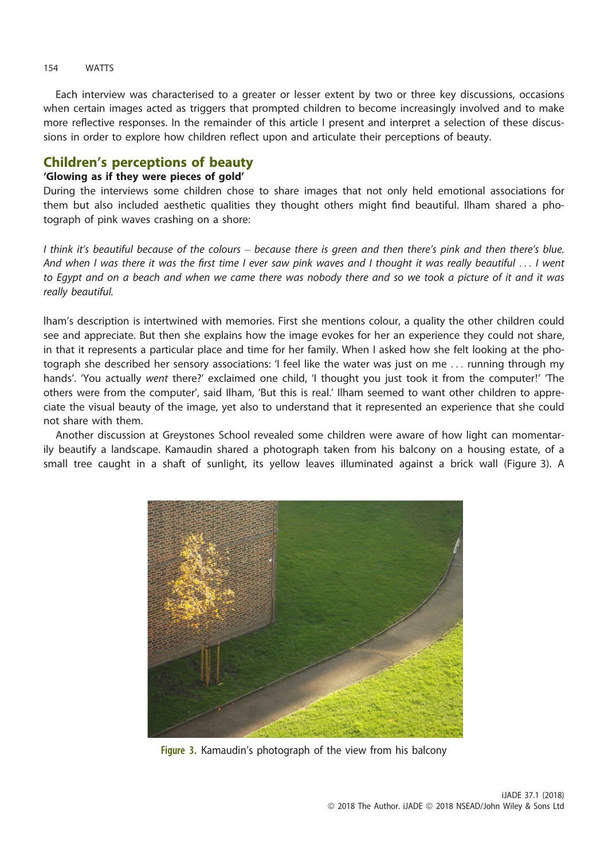Each interview was characterised to a greater or lesser extent by two or three key discussions, occasions when certain images acted as triggers that prompted children to become increasingly involved and to make more reflective responses. In the remainder of this article I present and interpret a selection of these discussions in order to explore how children reflect upon and articulate their perceptions of beauty.

## Children's perceptions of beauty

### 'Glowing as if they were pieces of gold'

During the interviews some children chose to share images that not only held emotional associations for them but also included aesthetic qualities they thought others might find beautiful. Ilham shared a photograph of pink waves crashing on a shore:

I think it's beautiful because of the colours – because there is green and then there's pink and then there's blue. And when I was there it was the first time I ever saw pink waves and I thought it was really beautiful ... I went to Egypt and on a beach and when we came there was nobody there and so we took a picture of it and it was really beautiful.

lham's description is intertwined with memories. First she mentions colour, a quality the other children could see and appreciate. But then she explains how the image evokes for her an experience they could not share, in that it represents a particular place and time for her family. When I asked how she felt looking at the photograph she described her sensory associations: 'I feel like the water was just on me ... running through my hands'. 'You actually went there?' exclaimed one child, 'I thought you just took it from the computer!' The others were from the computer', said Ilham, 'But this is real.' Ilham seemed to want other children to appreciate the visual beauty of the image, yet also to understand that it represented an experience that she could not share with them.

Another discussion at Greystones School revealed some children were aware of how light can momentarily beautify a landscape. Kamaudin shared a photograph taken from his balcony on a housing estate, of a small tree caught in a shaft of sunlight, its yellow leaves illuminated against a brick wall (Figure 3). A



Figure 3. Kamaudin's photograph of the view from his balcony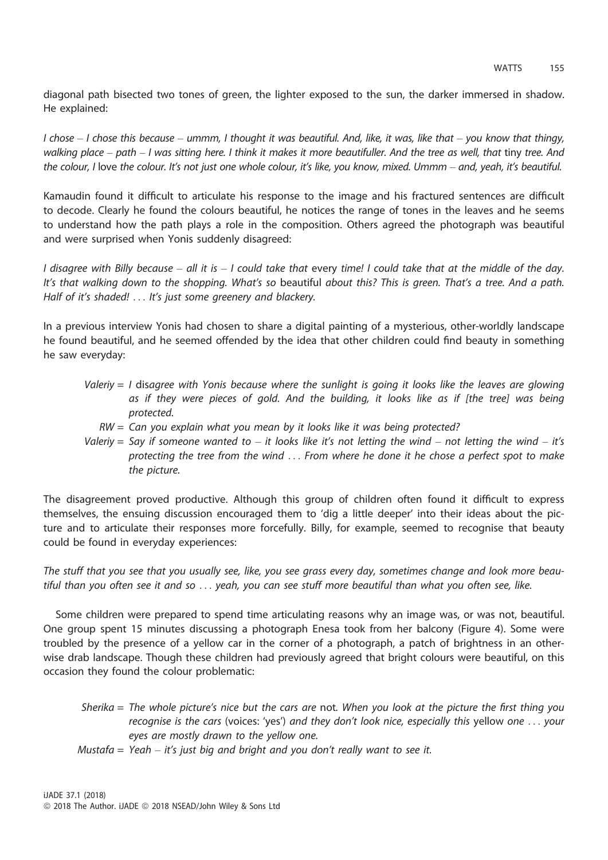diagonal path bisected two tones of green, the lighter exposed to the sun, the darker immersed in shadow. He explained:

I chose  $-$  I chose this because – ummm, I thought it was beautiful. And, like, it was, like that – you know that thingy, walking place – path – I was sitting here. I think it makes it more beautifuller. And the tree as well, that tiny tree. And the colour, I love the colour. It's not just one whole colour, it's like, you know, mixed. Ummm – and, yeah, it's beautiful.

Kamaudin found it difficult to articulate his response to the image and his fractured sentences are difficult to decode. Clearly he found the colours beautiful, he notices the range of tones in the leaves and he seems to understand how the path plays a role in the composition. Others agreed the photograph was beautiful and were surprised when Yonis suddenly disagreed:

I disagree with Billy because – all it is  $-1$  could take that every time! I could take that at the middle of the day. It's that walking down to the shopping. What's so beautiful about this? This is green. That's a tree. And a path. Half of it's shaded! . . . It's just some greenery and blackery.

In a previous interview Yonis had chosen to share a digital painting of a mysterious, other-worldly landscape he found beautiful, and he seemed offended by the idea that other children could find beauty in something he saw everyday:

- Valeriy = I disagree with Yonis because where the sunlight is going it looks like the leaves are glowing as if they were pieces of gold. And the building, it looks like as if [the tree] was being protected.
	- RW = Can you explain what you mean by it looks like it was being protected?
- Valeriy = Say if someone wanted to it looks like it's not letting the wind not letting the wind it's protecting the tree from the wind ... From where he done it he chose a perfect spot to make the picture.

The disagreement proved productive. Although this group of children often found it difficult to express themselves, the ensuing discussion encouraged them to 'dig a little deeper' into their ideas about the picture and to articulate their responses more forcefully. Billy, for example, seemed to recognise that beauty could be found in everyday experiences:

The stuff that you see that you usually see, like, you see grass every day, sometimes change and look more beautiful than you often see it and so ... yeah, you can see stuff more beautiful than what you often see, like.

Some children were prepared to spend time articulating reasons why an image was, or was not, beautiful. One group spent 15 minutes discussing a photograph Enesa took from her balcony (Figure 4). Some were troubled by the presence of a yellow car in the corner of a photograph, a patch of brightness in an otherwise drab landscape. Though these children had previously agreed that bright colours were beautiful, on this occasion they found the colour problematic:

Sherika = The whole picture's nice but the cars are not. When you look at the picture the first thing you recognise is the cars (voices: 'yes') and they don't look nice, especially this yellow one ... your eyes are mostly drawn to the yellow one.

Mustafa = Yeah – it's just big and bright and you don't really want to see it.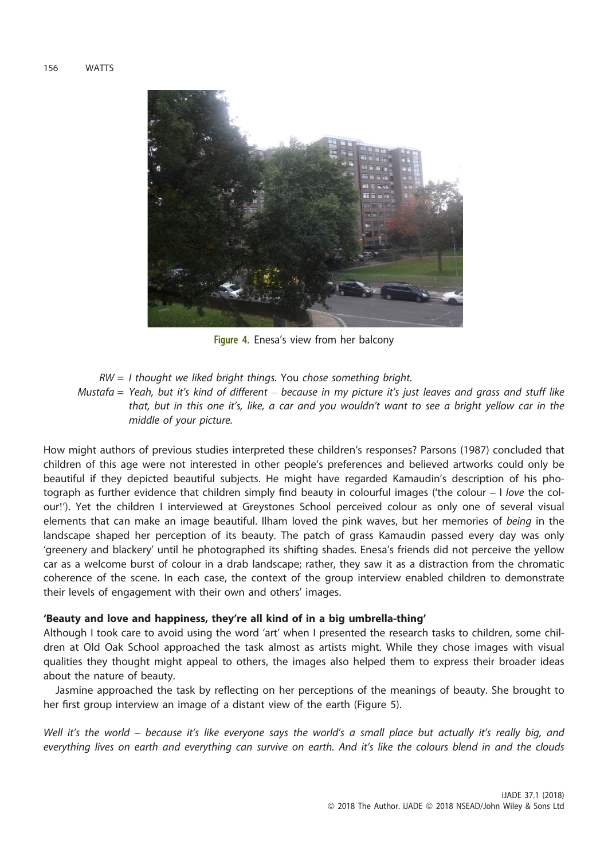

Figure 4. Enesa's view from her balcony

 $RW = 1$  thought we liked bright things. You chose something bright. Mustafa = Yeah, but it's kind of different – because in my picture it's just leaves and grass and stuff like that, but in this one it's, like, a car and you wouldn't want to see a bright yellow car in the middle of your picture.

How might authors of previous studies interpreted these children's responses? Parsons (1987) concluded that children of this age were not interested in other people's preferences and believed artworks could only be beautiful if they depicted beautiful subjects. He might have regarded Kamaudin's description of his photograph as further evidence that children simply find beauty in colourful images ('the colour – I love the colour!'). Yet the children I interviewed at Greystones School perceived colour as only one of several visual elements that can make an image beautiful. Ilham loved the pink waves, but her memories of being in the landscape shaped her perception of its beauty. The patch of grass Kamaudin passed every day was only 'greenery and blackery' until he photographed its shifting shades. Enesa's friends did not perceive the yellow car as a welcome burst of colour in a drab landscape; rather, they saw it as a distraction from the chromatic coherence of the scene. In each case, the context of the group interview enabled children to demonstrate their levels of engagement with their own and others' images.

### 'Beauty and love and happiness, they're all kind of in a big umbrella-thing'

Although I took care to avoid using the word 'art' when I presented the research tasks to children, some children at Old Oak School approached the task almost as artists might. While they chose images with visual qualities they thought might appeal to others, the images also helped them to express their broader ideas about the nature of beauty.

Jasmine approached the task by reflecting on her perceptions of the meanings of beauty. She brought to her first group interview an image of a distant view of the earth (Figure 5).

Well it's the world – because it's like everyone says the world's a small place but actually it's really big, and everything lives on earth and everything can survive on earth. And it's like the colours blend in and the clouds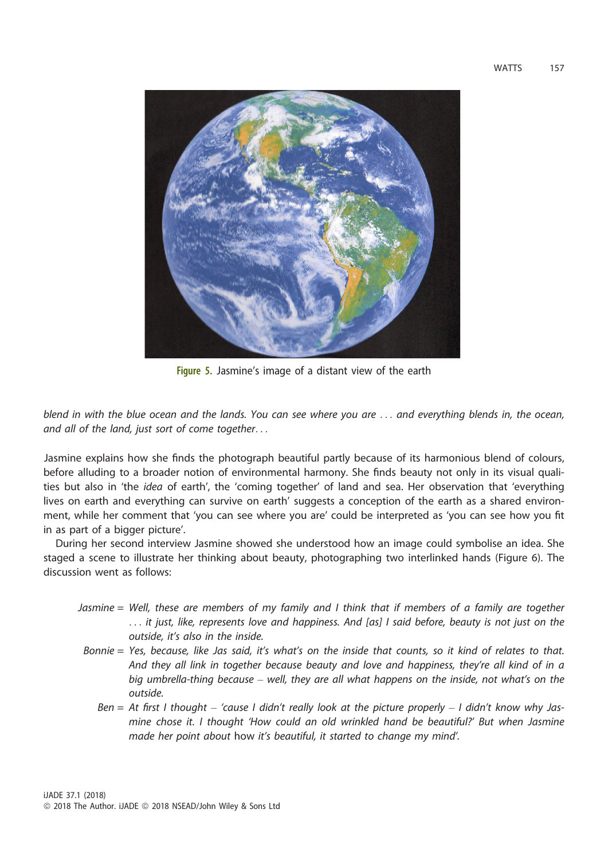

Figure 5. Jasmine's image of a distant view of the earth

blend in with the blue ocean and the lands. You can see where you are ... and everything blends in, the ocean, and all of the land, just sort of come together...

Jasmine explains how she finds the photograph beautiful partly because of its harmonious blend of colours, before alluding to a broader notion of environmental harmony. She finds beauty not only in its visual qualities but also in 'the idea of earth', the 'coming together' of land and sea. Her observation that 'everything lives on earth and everything can survive on earth' suggests a conception of the earth as a shared environment, while her comment that 'you can see where you are' could be interpreted as 'you can see how you fit in as part of a bigger picture'.

During her second interview Jasmine showed she understood how an image could symbolise an idea. She staged a scene to illustrate her thinking about beauty, photographing two interlinked hands (Figure 6). The discussion went as follows:

- Jasmine = Well, these are members of my family and I think that if members of a family are together ... it just, like, represents love and happiness. And [as] I said before, beauty is not just on the outside, it's also in the inside.
	- Bonnie = Yes, because, like Jas said, it's what's on the inside that counts, so it kind of relates to that. And they all link in together because beauty and love and happiness, they're all kind of in a big umbrella-thing because – well, they are all what happens on the inside, not what's on the outside.
		- Ben = At first I thought 'cause I didn't really look at the picture properly I didn't know why Jasmine chose it. I thought 'How could an old wrinkled hand be beautiful?' But when Jasmine made her point about how it's beautiful, it started to change my mind'.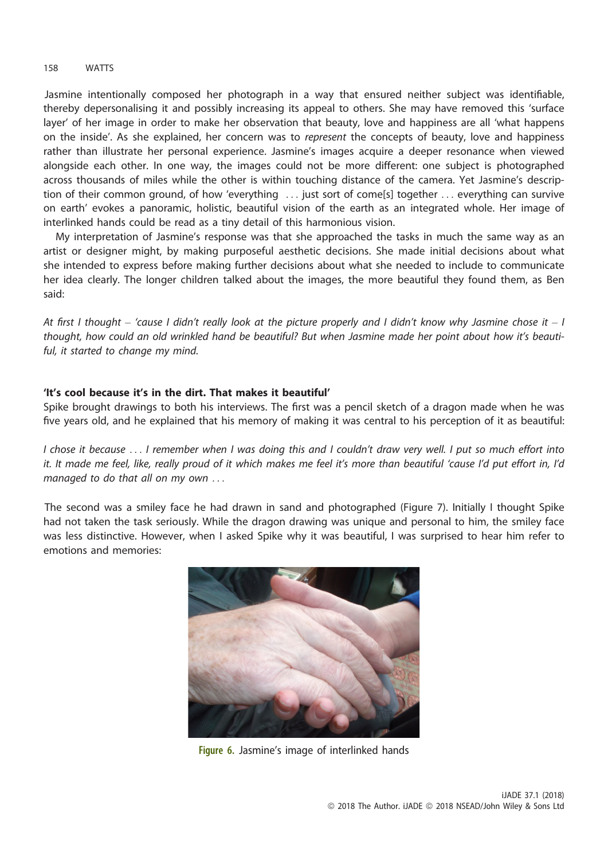Jasmine intentionally composed her photograph in a way that ensured neither subject was identifiable, thereby depersonalising it and possibly increasing its appeal to others. She may have removed this 'surface layer' of her image in order to make her observation that beauty, love and happiness are all 'what happens on the inside'. As she explained, her concern was to represent the concepts of beauty, love and happiness rather than illustrate her personal experience. Jasmine's images acquire a deeper resonance when viewed alongside each other. In one way, the images could not be more different: one subject is photographed across thousands of miles while the other is within touching distance of the camera. Yet Jasmine's description of their common ground, of how 'everything ... just sort of come[s] together ... everything can survive on earth' evokes a panoramic, holistic, beautiful vision of the earth as an integrated whole. Her image of interlinked hands could be read as a tiny detail of this harmonious vision.

My interpretation of Jasmine's response was that she approached the tasks in much the same way as an artist or designer might, by making purposeful aesthetic decisions. She made initial decisions about what she intended to express before making further decisions about what she needed to include to communicate her idea clearly. The longer children talked about the images, the more beautiful they found them, as Ben said:

At first I thought – 'cause I didn't really look at the picture properly and I didn't know why Jasmine chose it  $-1$ thought, how could an old wrinkled hand be beautiful? But when Jasmine made her point about how it's beautiful, it started to change my mind.

### 'It's cool because it's in the dirt. That makes it beautiful'

Spike brought drawings to both his interviews. The first was a pencil sketch of a dragon made when he was five years old, and he explained that his memory of making it was central to his perception of it as beautiful:

I chose it because ... I remember when I was doing this and I couldn't draw very well. I put so much effort into it. It made me feel, like, really proud of it which makes me feel it's more than beautiful 'cause I'd put effort in, I'd managed to do that all on my own ...

The second was a smiley face he had drawn in sand and photographed (Figure 7). Initially I thought Spike had not taken the task seriously. While the dragon drawing was unique and personal to him, the smiley face was less distinctive. However, when I asked Spike why it was beautiful, I was surprised to hear him refer to emotions and memories:



Figure 6. Jasmine's image of interlinked hands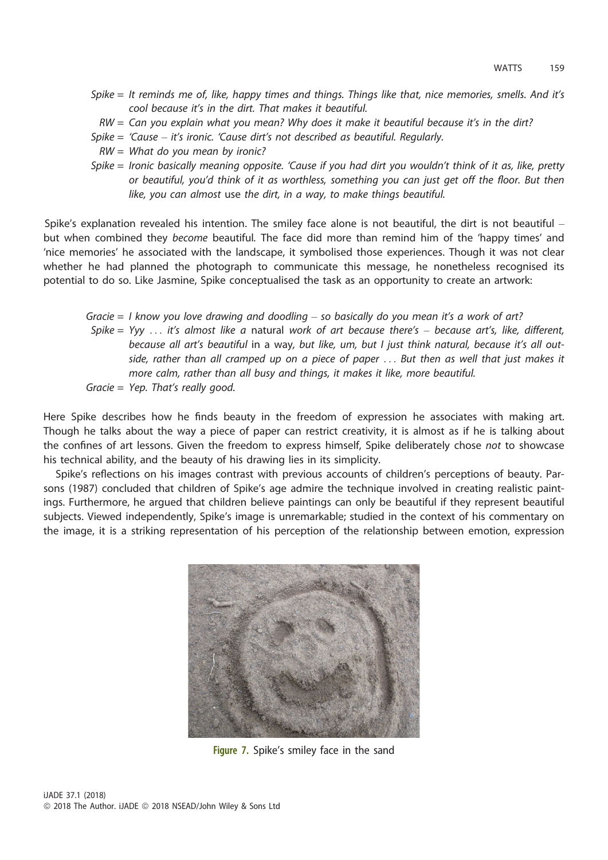- Spike = It reminds me of, like, happy times and things. Things like that, nice memories, smells. And it's cool because it's in the dirt. That makes it beautiful.
- RW = Can you explain what you mean? Why does it make it beautiful because it's in the dirt?
- Spike = 'Cause it's ironic. 'Cause dirt's not described as beautiful. Regularly.
- $RW = What do you mean by ironic?$
- Spike = Ironic basically meaning opposite. 'Cause if you had dirt you wouldn't think of it as, like, pretty or beautiful, you'd think of it as worthless, something you can just get off the floor. But then like, you can almost use the dirt, in a way, to make things beautiful.

Spike's explanation revealed his intention. The smiley face alone is not beautiful, the dirt is not beautiful – but when combined they become beautiful. The face did more than remind him of the 'happy times' and 'nice memories' he associated with the landscape, it symbolised those experiences. Though it was not clear whether he had planned the photograph to communicate this message, he nonetheless recognised its potential to do so. Like Jasmine, Spike conceptualised the task as an opportunity to create an artwork:

Gracie = 1 know you love drawing and doodling  $-$  so basically do you mean it's a work of art? Spike = Yyy  $\ldots$  it's almost like a natural work of art because there's – because art's, like, different, because all art's beautiful in a way, but like, um, but I just think natural, because it's all outside, rather than all cramped up on a piece of paper ... But then as well that just makes it more calm, rather than all busy and things, it makes it like, more beautiful. Gracie = Yep. That's really good.

Here Spike describes how he finds beauty in the freedom of expression he associates with making art. Though he talks about the way a piece of paper can restrict creativity, it is almost as if he is talking about the confines of art lessons. Given the freedom to express himself, Spike deliberately chose not to showcase his technical ability, and the beauty of his drawing lies in its simplicity.

Spike's reflections on his images contrast with previous accounts of children's perceptions of beauty. Parsons (1987) concluded that children of Spike's age admire the technique involved in creating realistic paintings. Furthermore, he argued that children believe paintings can only be beautiful if they represent beautiful subjects. Viewed independently, Spike's image is unremarkable; studied in the context of his commentary on the image, it is a striking representation of his perception of the relationship between emotion, expression



Figure 7. Spike's smiley face in the sand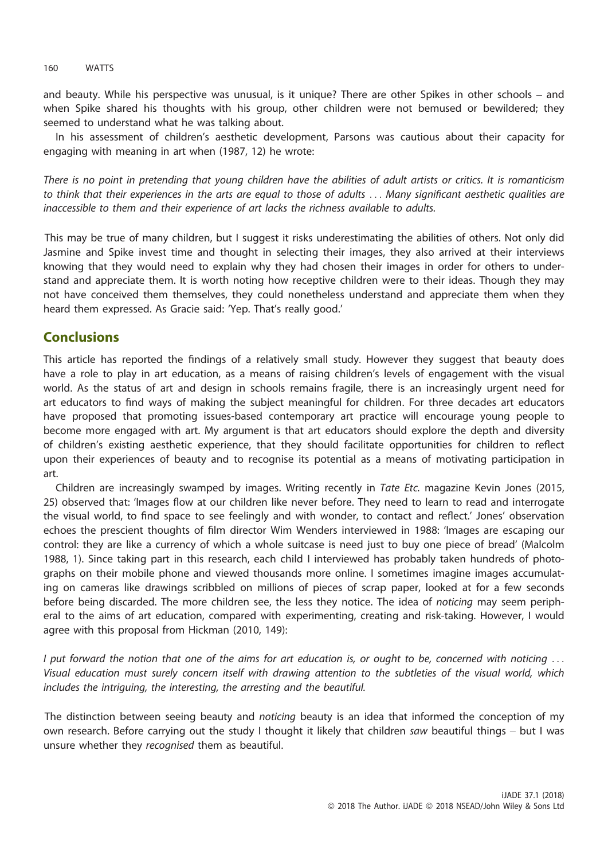and beauty. While his perspective was unusual, is it unique? There are other Spikes in other schools – and when Spike shared his thoughts with his group, other children were not bemused or bewildered; they seemed to understand what he was talking about.

In his assessment of children's aesthetic development, Parsons was cautious about their capacity for engaging with meaning in art when (1987, 12) he wrote:

There is no point in pretending that young children have the abilities of adult artists or critics. It is romanticism to think that their experiences in the arts are equal to those of adults ... Many significant aesthetic qualities are inaccessible to them and their experience of art lacks the richness available to adults.

This may be true of many children, but I suggest it risks underestimating the abilities of others. Not only did Jasmine and Spike invest time and thought in selecting their images, they also arrived at their interviews knowing that they would need to explain why they had chosen their images in order for others to understand and appreciate them. It is worth noting how receptive children were to their ideas. Though they may not have conceived them themselves, they could nonetheless understand and appreciate them when they heard them expressed. As Gracie said: 'Yep. That's really good.'

## Conclusions

This article has reported the findings of a relatively small study. However they suggest that beauty does have a role to play in art education, as a means of raising children's levels of engagement with the visual world. As the status of art and design in schools remains fragile, there is an increasingly urgent need for art educators to find ways of making the subject meaningful for children. For three decades art educators have proposed that promoting issues-based contemporary art practice will encourage young people to become more engaged with art. My argument is that art educators should explore the depth and diversity of children's existing aesthetic experience, that they should facilitate opportunities for children to reflect upon their experiences of beauty and to recognise its potential as a means of motivating participation in art.

Children are increasingly swamped by images. Writing recently in Tate Etc. magazine Kevin Jones (2015, 25) observed that: 'Images flow at our children like never before. They need to learn to read and interrogate the visual world, to find space to see feelingly and with wonder, to contact and reflect.' Jones' observation echoes the prescient thoughts of film director Wim Wenders interviewed in 1988: 'Images are escaping our control: they are like a currency of which a whole suitcase is need just to buy one piece of bread' (Malcolm 1988, 1). Since taking part in this research, each child I interviewed has probably taken hundreds of photographs on their mobile phone and viewed thousands more online. I sometimes imagine images accumulating on cameras like drawings scribbled on millions of pieces of scrap paper, looked at for a few seconds before being discarded. The more children see, the less they notice. The idea of noticing may seem peripheral to the aims of art education, compared with experimenting, creating and risk-taking. However, I would agree with this proposal from Hickman (2010, 149):

I put forward the notion that one of the aims for art education is, or ought to be, concerned with noticing ... Visual education must surely concern itself with drawing attention to the subtleties of the visual world, which includes the intriguing, the interesting, the arresting and the beautiful.

The distinction between seeing beauty and noticing beauty is an idea that informed the conception of my own research. Before carrying out the study I thought it likely that children saw beautiful things – but I was unsure whether they recognised them as beautiful.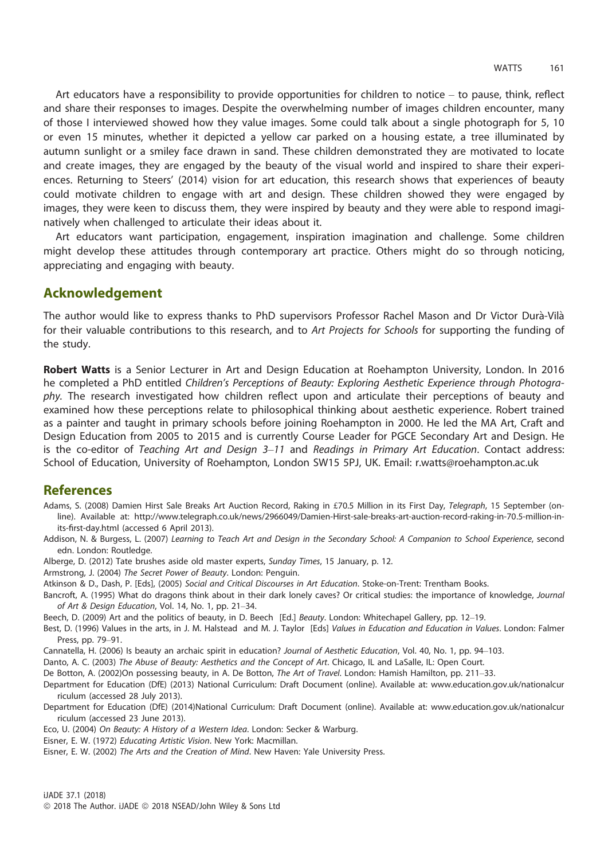Art educators have a responsibility to provide opportunities for children to notice – to pause, think, reflect and share their responses to images. Despite the overwhelming number of images children encounter, many of those I interviewed showed how they value images. Some could talk about a single photograph for 5, 10 or even 15 minutes, whether it depicted a yellow car parked on a housing estate, a tree illuminated by autumn sunlight or a smiley face drawn in sand. These children demonstrated they are motivated to locate and create images, they are engaged by the beauty of the visual world and inspired to share their experiences. Returning to Steers' (2014) vision for art education, this research shows that experiences of beauty could motivate children to engage with art and design. These children showed they were engaged by images, they were keen to discuss them, they were inspired by beauty and they were able to respond imaginatively when challenged to articulate their ideas about it.

Art educators want participation, engagement, inspiration imagination and challenge. Some children might develop these attitudes through contemporary art practice. Others might do so through noticing, appreciating and engaging with beauty.

# Acknowledgement

The author would like to express thanks to PhD supervisors Professor Rachel Mason and Dr Victor Durà-Vilà for their valuable contributions to this research, and to Art Projects for Schools for supporting the funding of the study.

Robert Watts is a Senior Lecturer in Art and Design Education at Roehampton University, London. In 2016 he completed a PhD entitled Children's Perceptions of Beauty: Exploring Aesthetic Experience through Photography. The research investigated how children reflect upon and articulate their perceptions of beauty and examined how these perceptions relate to philosophical thinking about aesthetic experience. Robert trained as a painter and taught in primary schools before joining Roehampton in 2000. He led the MA Art, Craft and Design Education from 2005 to 2015 and is currently Course Leader for PGCE Secondary Art and Design. He is the co-editor of Teaching Art and Design  $3-11$  and Readings in Primary Art Education. Contact address: School of Education, University of Roehampton, London SW15 5PJ, UK. Email: r.watts@roehampton.ac.uk

# References

- Adams, S. (2008) Damien Hirst Sale Breaks Art Auction Record, Raking in £70.5 Million in its First Day, Telegraph, 15 September (online). Available at: http://www.telegraph.co.uk/news/2966049/Damien-Hirst-sale-breaks-art-auction-record-raking-in-70.5-million-inits-first-day.html (accessed 6 April 2013).
- Addison, N. & Burgess, L. (2007) Learning to Teach Art and Design in the Secondary School: A Companion to School Experience, second edn. London: Routledge.
- Alberge, D. (2012) Tate brushes aside old master experts, Sunday Times, 15 January, p. 12.
- Armstrong, J. (2004) The Secret Power of Beauty. London: Penguin.
- Atkinson & D., Dash, P. [Eds], (2005) Social and Critical Discourses in Art Education. Stoke-on-Trent: Trentham Books.
- Bancroft, A. (1995) What do dragons think about in their dark lonely caves? Or critical studies: the importance of knowledge, Journal of Art & Design Education, Vol. 14, No. 1, pp. 21–34.
- Beech, D. (2009) Art and the politics of beauty, in D. Beech [Ed.] Beauty. London: Whitechapel Gallery, pp. 12–19.
- Best, D. (1996) Values in the arts, in J. M. Halstead and M. J. Taylor [Eds] Values in Education and Education in Values. London: Falmer Press, pp. 79–91.
- Cannatella, H. (2006) Is beauty an archaic spirit in education? Journal of Aesthetic Education, Vol. 40, No. 1, pp. 94–103.
- Danto, A. C. (2003) The Abuse of Beauty: Aesthetics and the Concept of Art. Chicago, IL and LaSalle, IL: Open Court.
- De Botton, A. (2002)On possessing beauty, in A. De Botton, The Art of Travel. London: Hamish Hamilton, pp. 211–33.
- Department for Education (DfE) (2013) National Curriculum: Draft Document (online). Available at: www.education.gov.uk/nationalcur riculum (accessed 28 July 2013).
- Department for Education (DfE) (2014)National Curriculum: Draft Document (online). Available at: www.education.gov.uk/nationalcur riculum (accessed 23 June 2013).
- Eco, U. (2004) On Beauty: A History of a Western Idea. London: Secker & Warburg.
- Eisner, E. W. (1972) Educating Artistic Vision. New York: Macmillan.
- Eisner, E. W. (2002) The Arts and the Creation of Mind. New Haven: Yale University Press.